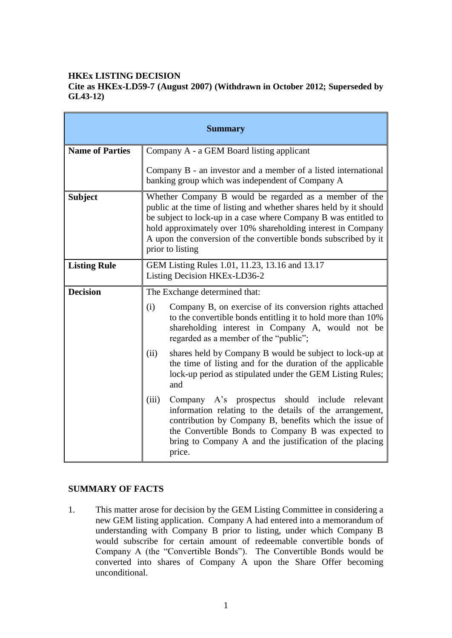## **HKEx LISTING DECISION**

#### **Cite as HKEx-LD59-7 (August 2007) (Withdrawn in October 2012; Superseded by GL43-12)**

| <b>Summary</b>         |                                                                                                                                                                                                                                                                                                                                                        |
|------------------------|--------------------------------------------------------------------------------------------------------------------------------------------------------------------------------------------------------------------------------------------------------------------------------------------------------------------------------------------------------|
| <b>Name of Parties</b> | Company A - a GEM Board listing applicant                                                                                                                                                                                                                                                                                                              |
|                        | Company B - an investor and a member of a listed international<br>banking group which was independent of Company A                                                                                                                                                                                                                                     |
| <b>Subject</b>         | Whether Company B would be regarded as a member of the<br>public at the time of listing and whether shares held by it should<br>be subject to lock-up in a case where Company B was entitled to<br>hold approximately over 10% shareholding interest in Company<br>A upon the conversion of the convertible bonds subscribed by it<br>prior to listing |
| <b>Listing Rule</b>    | GEM Listing Rules 1.01, 11.23, 13.16 and 13.17<br>Listing Decision HKEx-LD36-2                                                                                                                                                                                                                                                                         |
| <b>Decision</b>        | The Exchange determined that:                                                                                                                                                                                                                                                                                                                          |
|                        | Company B, on exercise of its conversion rights attached<br>(i)<br>to the convertible bonds entitling it to hold more than 10%<br>shareholding interest in Company A, would not be<br>regarded as a member of the "public";                                                                                                                            |
|                        | shares held by Company B would be subject to lock-up at<br>(ii)<br>the time of listing and for the duration of the applicable<br>lock-up period as stipulated under the GEM Listing Rules;<br>and                                                                                                                                                      |
|                        | should include relevant<br>(iii)<br>Company A's prospectus<br>information relating to the details of the arrangement,<br>contribution by Company B, benefits which the issue of<br>the Convertible Bonds to Company B was expected to<br>bring to Company A and the justification of the placing<br>price.                                             |

## **SUMMARY OF FACTS**

1. This matter arose for decision by the GEM Listing Committee in considering a new GEM listing application. Company A had entered into a memorandum of understanding with Company B prior to listing, under which Company B would subscribe for certain amount of redeemable convertible bonds of Company A (the "Convertible Bonds"). The Convertible Bonds would be converted into shares of Company A upon the Share Offer becoming unconditional.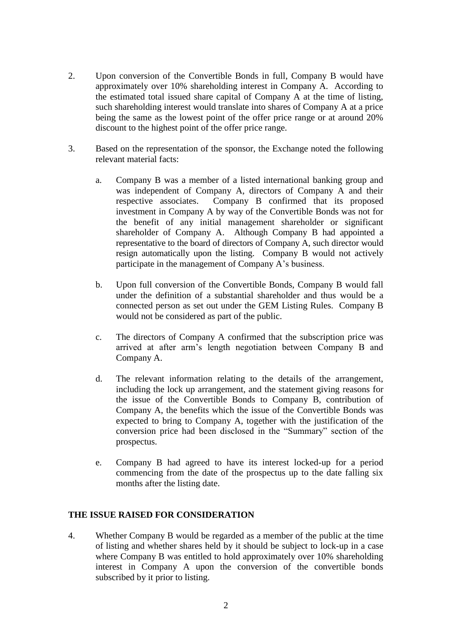- 2. Upon conversion of the Convertible Bonds in full, Company B would have approximately over 10% shareholding interest in Company A. According to the estimated total issued share capital of Company A at the time of listing, such shareholding interest would translate into shares of Company A at a price being the same as the lowest point of the offer price range or at around 20% discount to the highest point of the offer price range.
- 3. Based on the representation of the sponsor, the Exchange noted the following relevant material facts:
	- a. Company B was a member of a listed international banking group and was independent of Company A, directors of Company A and their respective associates. Company B confirmed that its proposed investment in Company A by way of the Convertible Bonds was not for the benefit of any initial management shareholder or significant shareholder of Company A. Although Company B had appointed a representative to the board of directors of Company A, such director would resign automatically upon the listing. Company B would not actively participate in the management of Company A"s business.
	- b. Upon full conversion of the Convertible Bonds, Company B would fall under the definition of a substantial shareholder and thus would be a connected person as set out under the GEM Listing Rules. Company B would not be considered as part of the public.
	- c. The directors of Company A confirmed that the subscription price was arrived at after arm"s length negotiation between Company B and Company A.
	- d. The relevant information relating to the details of the arrangement, including the lock up arrangement, and the statement giving reasons for the issue of the Convertible Bonds to Company B, contribution of Company A, the benefits which the issue of the Convertible Bonds was expected to bring to Company A, together with the justification of the conversion price had been disclosed in the "Summary" section of the prospectus.
	- e. Company B had agreed to have its interest locked-up for a period commencing from the date of the prospectus up to the date falling six months after the listing date.

## **THE ISSUE RAISED FOR CONSIDERATION**

4. Whether Company B would be regarded as a member of the public at the time of listing and whether shares held by it should be subject to lock-up in a case where Company B was entitled to hold approximately over 10% shareholding interest in Company A upon the conversion of the convertible bonds subscribed by it prior to listing.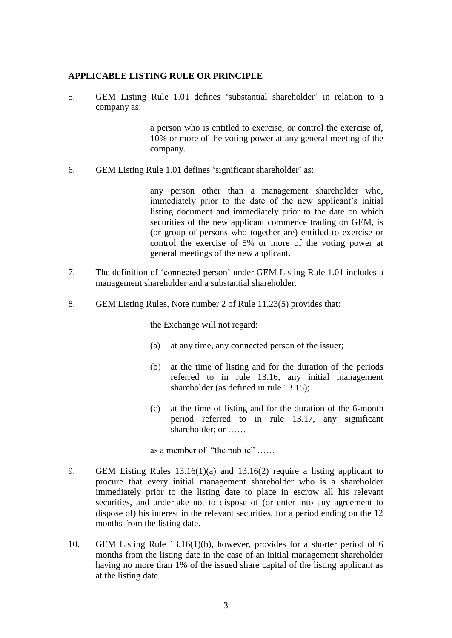#### **APPLICABLE LISTING RULE OR PRINCIPLE**

5. GEM Listing Rule 1.01 defines "substantial shareholder" in relation to a company as:

> a person who is entitled to exercise, or control the exercise of, 10% or more of the voting power at any general meeting of the company.

6. GEM Listing Rule 1.01 defines 'significant shareholder' as:

any person other than a management shareholder who, immediately prior to the date of the new applicant's initial listing document and immediately prior to the date on which securities of the new applicant commence trading on GEM, is (or group of persons who together are) entitled to exercise or control the exercise of 5% or more of the voting power at general meetings of the new applicant.

- 7. The definition of "connected person" under GEM Listing Rule 1.01 includes a management shareholder and a substantial shareholder.
- 8. GEM Listing Rules, Note number 2 of Rule 11.23(5) provides that:

the Exchange will not regard:

- (a) at any time, any connected person of the issuer;
- (b) at the time of listing and for the duration of the periods referred to in rule 13.16, any initial management shareholder (as defined in rule 13.15);
- (c) at the time of listing and for the duration of the 6-month period referred to in rule 13.17, any significant shareholder; or ……

as a member of "the public" ……

- 9. GEM Listing Rules 13.16(1)(a) and 13.16(2) require a listing applicant to procure that every initial management shareholder who is a shareholder immediately prior to the listing date to place in escrow all his relevant securities, and undertake not to dispose of (or enter into any agreement to dispose of) his interest in the relevant securities, for a period ending on the 12 months from the listing date.
- 10. GEM Listing Rule 13.16(1)(b), however, provides for a shorter period of 6 months from the listing date in the case of an initial management shareholder having no more than 1% of the issued share capital of the listing applicant as at the listing date.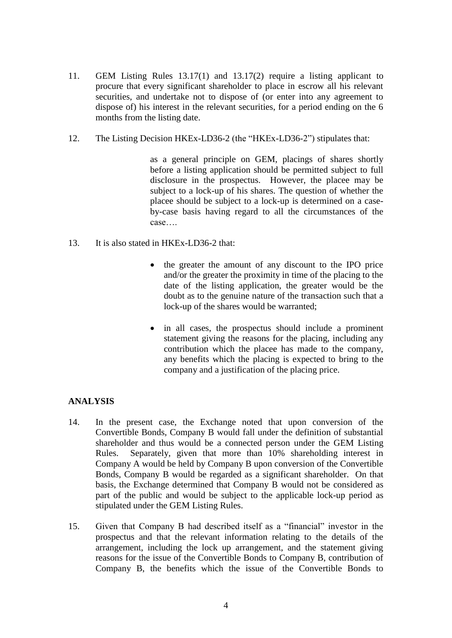- 11. GEM Listing Rules 13.17(1) and 13.17(2) require a listing applicant to procure that every significant shareholder to place in escrow all his relevant securities, and undertake not to dispose of (or enter into any agreement to dispose of) his interest in the relevant securities, for a period ending on the 6 months from the listing date.
- 12. The Listing Decision HKEx-LD36-2 (the "HKEx-LD36-2") stipulates that:

as a general principle on GEM, placings of shares shortly before a listing application should be permitted subject to full disclosure in the prospectus. However, the placee may be subject to a lock-up of his shares. The question of whether the placee should be subject to a lock-up is determined on a caseby-case basis having regard to all the circumstances of the case….

- 13. It is also stated in HKEx-LD36-2 that:
	- the greater the amount of any discount to the IPO price and/or the greater the proximity in time of the placing to the date of the listing application, the greater would be the doubt as to the genuine nature of the transaction such that a lock-up of the shares would be warranted;
	- in all cases, the prospectus should include a prominent statement giving the reasons for the placing, including any contribution which the placee has made to the company, any benefits which the placing is expected to bring to the company and a justification of the placing price.

# **ANALYSIS**

- 14. In the present case, the Exchange noted that upon conversion of the Convertible Bonds, Company B would fall under the definition of substantial shareholder and thus would be a connected person under the GEM Listing Rules. Separately, given that more than 10% shareholding interest in Company A would be held by Company B upon conversion of the Convertible Bonds, Company B would be regarded as a significant shareholder. On that basis, the Exchange determined that Company B would not be considered as part of the public and would be subject to the applicable lock-up period as stipulated under the GEM Listing Rules.
- 15. Given that Company B had described itself as a "financial" investor in the prospectus and that the relevant information relating to the details of the arrangement, including the lock up arrangement, and the statement giving reasons for the issue of the Convertible Bonds to Company B, contribution of Company B, the benefits which the issue of the Convertible Bonds to